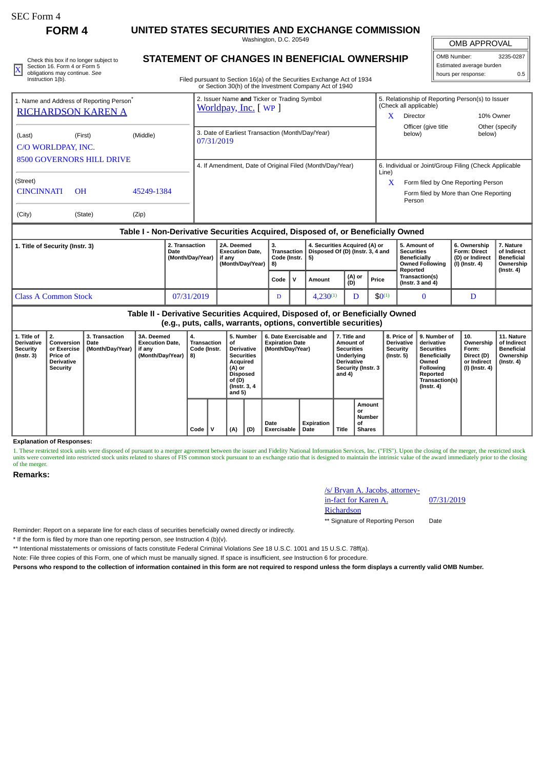**FORM 4 UNITED STATES SECURITIES AND EXCHANGE COMMISSION**

Washington, D.C. 20549

| Check this box if no longer subject to | STATEMENT OF CHANGES IN BENEFICIAL OWNERSHIP                           | OMB Number:              | 3235-0287 |
|----------------------------------------|------------------------------------------------------------------------|--------------------------|-----------|
| Section 16, Form 4 or Form 5           |                                                                        | Estimated average burden |           |
| obligations may continue. See          |                                                                        | I hours per response:    |           |
| Instruction 1(b).                      | Filed pursuant to Section 16(a) of the Securities Exchange Act of 1934 |                          |           |

## **STATEMENT OF CHANGES IN BENEFICIAL OWNERSHIP**

Filed pursuant to Section 16(a) of the Securities Exchange Act of 1934 or Section 30(h) of the Investment Company Act of 1940

# OMB APPROVAL OMB Number: 3235-0287 Estimated average burden

| hours per response:      | 0.5 |
|--------------------------|-----|
| Estimated average burden |     |

|                                                                                                   | 1. Name and Address of Reporting Person <sup>®</sup><br><b>RICHARDSON KAREN A</b> |       | 2. Issuer Name and Ticker or Trading Symbol<br>Worldpay, Inc. [WP] | x          | 5. Relationship of Reporting Person(s) to Issuer<br>(Check all applicable)<br>Director                                               | 10% Owner                |  |
|---------------------------------------------------------------------------------------------------|-----------------------------------------------------------------------------------|-------|--------------------------------------------------------------------|------------|--------------------------------------------------------------------------------------------------------------------------------------|--------------------------|--|
| (Middle)<br>(First)<br>(Last)<br>C/O WORLDPAY, INC.                                               |                                                                                   |       | 3. Date of Earliest Transaction (Month/Day/Year)<br>07/31/2019     |            | Officer (give title<br>below)                                                                                                        | Other (specify<br>below) |  |
| <b>8500 GOVERNORS HILL DRIVE</b><br>(Street)<br><b>CINCINNATI</b><br>O <sub>H</sub><br>45249-1384 |                                                                                   |       | 4. If Amendment, Date of Original Filed (Month/Day/Year)           | Line)<br>x | 6. Individual or Joint/Group Filing (Check Applicable<br>Form filed by One Reporting Person<br>Form filed by More than One Reporting |                          |  |
| (City)                                                                                            | (State)                                                                           | (Zip) |                                                                    |            | Person                                                                                                                               |                          |  |

#### **Table I - Non-Derivative Securities Acquired, Disposed of, or Beneficially Owned**

| 1. Title of Security (Instr. 3) | 2. Transaction<br>Date<br>(Month/Day/Year) | 2A. Deemed<br><b>Execution Date.</b><br>if anv<br>(Month/Day/Year)   8) | з.<br>Transaction<br>Code (Instr. |  | 4. Securities Acquired (A) or<br>Disposed Of (D) (Instr. 3, 4 and<br>5) |               |             | 5. Amount of<br><b>Securities</b><br><b>Beneficially</b><br><b>Owned Following</b><br>Reported | 6. Ownership<br><b>Form: Direct</b><br>(D) or Indirect<br>(I) (Instr. 4) | 7. Nature<br>of Indirect<br>Beneficial<br>Ownership<br>(Instr. 4) |
|---------------------------------|--------------------------------------------|-------------------------------------------------------------------------|-----------------------------------|--|-------------------------------------------------------------------------|---------------|-------------|------------------------------------------------------------------------------------------------|--------------------------------------------------------------------------|-------------------------------------------------------------------|
|                                 |                                            |                                                                         | Code                              |  | Amount                                                                  | (A) or<br>(D) | Price       | <b>Transaction(s)</b><br>(Instr. $3$ and $4$ )                                                 |                                                                          |                                                                   |
| <b>Class A Common Stock</b>     | 07/31/2019                                 |                                                                         | ע                                 |  | $4.230^{(1)}$                                                           |               | $$0^{(1)}$$ |                                                                                                |                                                                          |                                                                   |

### **Table II - Derivative Securities Acquired, Disposed of, or Beneficially Owned (e.g., puts, calls, warrants, options, convertible securities)**

| 1. Title of<br>Derivative<br>Security<br>(Instr. 3) | 2.<br>Conversion<br>or Exercise<br><b>Price of</b><br><b>Derivative</b><br><b>Security</b> | <b>3. Transaction</b><br>Date<br>(Month/Day/Year) | 3A. Deemed<br><b>Execution Date.</b><br>if any<br>(Month/Day/Year) | 4.<br>Transaction<br>Code (Instr.<br>8) |  | 5. Number<br>οf<br><b>Derivative</b><br><b>Securities</b><br>Acquired<br>(A) or<br><b>Disposed</b><br>of (D)<br>(Instr. 3, 4)<br>and 5) |     | 6. Date Exercisable and<br><b>Expiration Date</b><br>(Month/Day/Year) |                    | 7. Title and<br>Amount of<br><b>Securities</b><br>Underlying<br><b>Derivative</b><br>Security (Instr. 3<br>and 4) |                                               | 8. Price of<br><b>Derivative</b><br>Security<br>(Instr. 5) | 9. Number of<br>derivative<br><b>Securities</b><br><b>Beneficially</b><br>Owned<br><b>Following</b><br>Reported<br>Transaction(s)<br>$($ Instr. 4 $)$ | 10.<br>Ownership<br>Form:<br>Direct (D)<br>or Indirect<br>(I) (Instr. 4) | 11. Nature<br>of Indirect<br>Beneficial<br>Ownership<br>(Instr. 4) |
|-----------------------------------------------------|--------------------------------------------------------------------------------------------|---------------------------------------------------|--------------------------------------------------------------------|-----------------------------------------|--|-----------------------------------------------------------------------------------------------------------------------------------------|-----|-----------------------------------------------------------------------|--------------------|-------------------------------------------------------------------------------------------------------------------|-----------------------------------------------|------------------------------------------------------------|-------------------------------------------------------------------------------------------------------------------------------------------------------|--------------------------------------------------------------------------|--------------------------------------------------------------------|
|                                                     |                                                                                            |                                                   |                                                                    | Code                                    |  | (A)                                                                                                                                     | (D) | Date<br>Exercisable                                                   | Expiration<br>Date | <b>Title</b>                                                                                                      | Amount<br>or<br>Number<br>οf<br><b>Shares</b> |                                                            |                                                                                                                                                       |                                                                          |                                                                    |

#### **Explanation of Responses:**

1. These restricted stock units were disposed of pursuant to a merger agreement between the issuer and Fidelity National Information Services, Inc. ("FIS"). Upon the closing of the merger, the restricted stock units were converted into restricted stock units related to shares of FIS common stock pursuant to an exchange ratio that is designed to maintain the intrinsic value of the award immediately prior to the closing of the merger.

#### **Remarks:**

/s/ Bryan A. Jacobs, attorneyin-fact for Karen A. Richardson

07/31/2019

\*\* Signature of Reporting Person Date

Reminder: Report on a separate line for each class of securities beneficially owned directly or indirectly.

\* If the form is filed by more than one reporting person, *see* Instruction 4 (b)(v).

\*\* Intentional misstatements or omissions of facts constitute Federal Criminal Violations *See* 18 U.S.C. 1001 and 15 U.S.C. 78ff(a).

Note: File three copies of this Form, one of which must be manually signed. If space is insufficient, *see* Instruction 6 for procedure.

**Persons who respond to the collection of information contained in this form are not required to respond unless the form displays a currently valid OMB Number.**